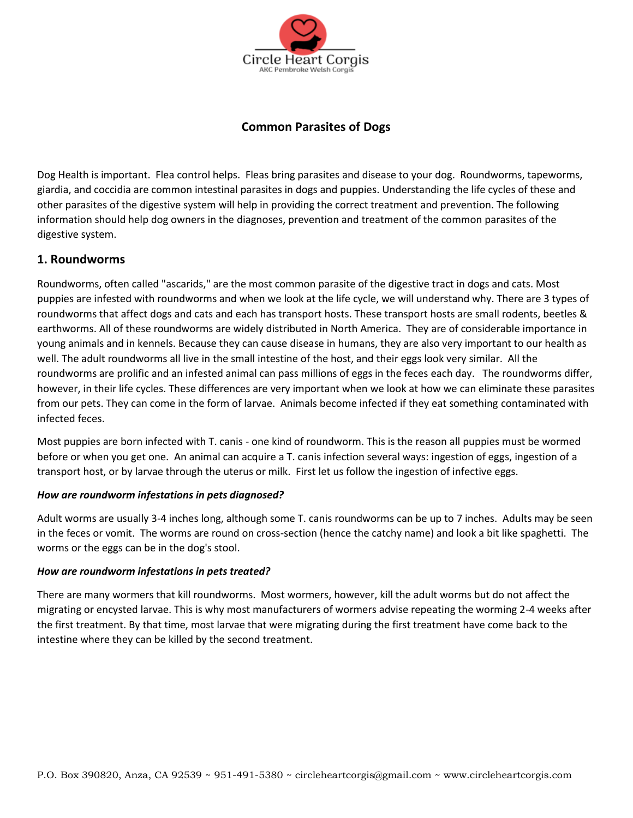

# **Common Parasites of Dogs**

Dog Health is important. Flea control helps. Fleas bring parasites and disease to your dog. Roundworms, tapeworms, giardia, and coccidia are common intestinal parasites in dogs and puppies. Understanding the life cycles of these and other parasites of the digestive system will help in providing the correct treatment and prevention. The following information should help dog owners in the diagnoses, prevention and treatment of the common parasites of the digestive system.

## **1. Roundworms**

Roundworms, often called "ascarids," are the most common parasite of the digestive tract in dogs and cats. Most puppies are infested with roundworms and when we look at the life cycle, we will understand why. There are 3 types of roundworms that affect dogs and cats and each has transport hosts. These transport hosts are small rodents, beetles & earthworms. All of these roundworms are widely distributed in North America. They are of considerable importance in young animals and in kennels. Because they can cause disease in humans, they are also very important to our health as well. The adult roundworms all live in the small intestine of the host, and their eggs look very similar. All the roundworms are prolific and an infested animal can pass millions of eggs in the feces each day. The roundworms differ, however, in their life cycles. These differences are very important when we look at how we can eliminate these parasites from our pets. They can come in the form of larvae. Animals become infected if they eat something contaminated with infected feces.

Most puppies are born infected with T. canis - one kind of roundworm. This is the reason all puppies must be wormed before or when you get one. An animal can acquire a T. canis infection several ways: ingestion of eggs, ingestion of a transport host, or by larvae through the uterus or milk. First let us follow the ingestion of infective eggs.

### *How are roundworm infestations in pets diagnosed?*

Adult worms are usually 3-4 inches long, although some T. canis roundworms can be up to 7 inches. Adults may be seen in the feces or vomit. The worms are round on cross-section (hence the catchy name) and look a bit like spaghetti. The worms or the eggs can be in the dog's stool.

#### *How are roundworm infestations in pets treated?*

There are many wormers that kill roundworms. Most wormers, however, kill the adult worms but do not affect the migrating or encysted larvae. This is why most manufacturers of wormers advise repeating the worming 2-4 weeks after the first treatment. By that time, most larvae that were migrating during the first treatment have come back to the intestine where they can be killed by the second treatment.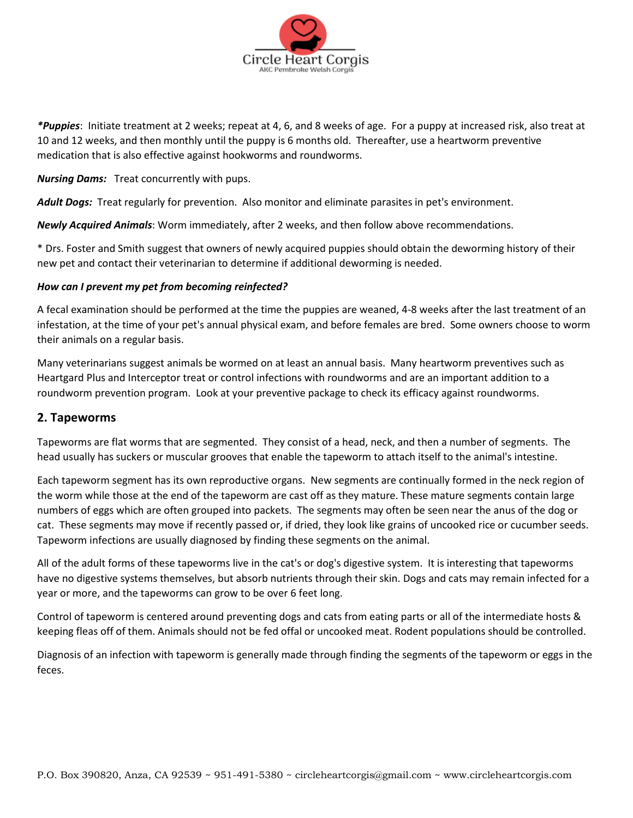

*\*Puppies*: Initiate treatment at 2 weeks; repeat at 4, 6, and 8 weeks of age. For a puppy at increased risk, also treat at 10 and 12 weeks, and then monthly until the puppy is 6 months old. Thereafter, use a heartworm preventive medication that is also effective against hookworms and roundworms.

*Nursing Dams:* Treat concurrently with pups.

*Adult Dogs:* Treat regularly for prevention. Also monitor and eliminate parasites in pet's environment.

*Newly Acquired Animals*: Worm immediately, after 2 weeks, and then follow above recommendations.

\* Drs. Foster and Smith suggest that owners of newly acquired puppies should obtain the deworming history of their new pet and contact their veterinarian to determine if additional deworming is needed.

## *How can I prevent my pet from becoming reinfected?*

A fecal examination should be performed at the time the puppies are weaned, 4-8 weeks after the last treatment of an infestation, at the time of your pet's annual physical exam, and before females are bred. Some owners choose to worm their animals on a regular basis.

Many veterinarians suggest animals be wormed on at least an annual basis. Many heartworm preventives such as Heartgard Plus and Interceptor treat or control infections with roundworms and are an important addition to a roundworm prevention program. Look at your preventive package to check its efficacy against roundworms.

## **2. Tapeworms**

Tapeworms are flat worms that are segmented. They consist of a head, neck, and then a number of segments. The head usually has suckers or muscular grooves that enable the tapeworm to attach itself to the animal's intestine.

Each tapeworm segment has its own reproductive organs. New segments are continually formed in the neck region of the worm while those at the end of the tapeworm are cast off as they mature. These mature segments contain large numbers of eggs which are often grouped into packets. The segments may often be seen near the anus of the dog or cat. These segments may move if recently passed or, if dried, they look like grains of uncooked rice or cucumber seeds. Tapeworm infections are usually diagnosed by finding these segments on the animal.

All of the adult forms of these tapeworms live in the cat's or dog's digestive system. It is interesting that tapeworms have no digestive systems themselves, but absorb nutrients through their skin. Dogs and cats may remain infected for a year or more, and the tapeworms can grow to be over 6 feet long.

Control of tapeworm is centered around preventing dogs and cats from eating parts or all of the intermediate hosts & keeping fleas off of them. Animals should not be fed offal or uncooked meat. Rodent populations should be controlled.

Diagnosis of an infection with tapeworm is generally made through finding the segments of the tapeworm or eggs in the feces.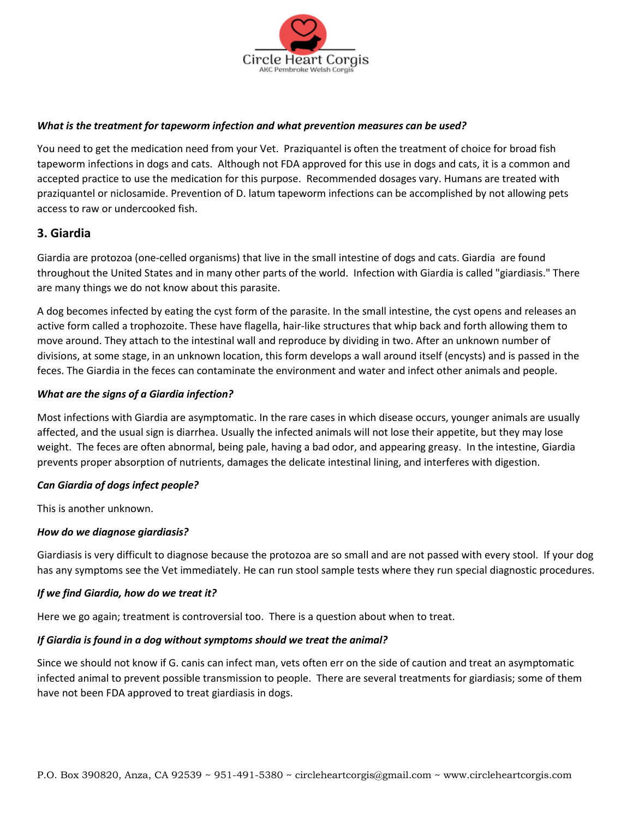

### *What is the treatment for tapeworm infection and what prevention measures can be used?*

You need to get the medication need from your Vet. Praziquantel is often the treatment of choice for broad fish tapeworm infections in dogs and cats. Although not FDA approved for this use in dogs and cats, it is a common and accepted practice to use the medication for this purpose. Recommended dosages vary. Humans are treated with praziquantel or niclosamide. Prevention of D. latum tapeworm infections can be accomplished by not allowing pets access to raw or undercooked fish.

## **3. Giardia**

Giardia are protozoa (one-celled organisms) that live in the small intestine of dogs and cats. Giardia are found throughout the United States and in many other parts of the world. Infection with Giardia is called "giardiasis." There are many things we do not know about this parasite.

A dog becomes infected by eating the cyst form of the parasite. In the small intestine, the cyst opens and releases an active form called a trophozoite. These have flagella, hair-like structures that whip back and forth allowing them to move around. They attach to the intestinal wall and reproduce by dividing in two. After an unknown number of divisions, at some stage, in an unknown location, this form develops a wall around itself (encysts) and is passed in the feces. The Giardia in the feces can contaminate the environment and water and infect other animals and people.

### *What are the signs of a Giardia infection?*

Most infections with Giardia are asymptomatic. In the rare cases in which disease occurs, younger animals are usually affected, and the usual sign is diarrhea. Usually the infected animals will not lose their appetite, but they may lose weight. The feces are often abnormal, being pale, having a bad odor, and appearing greasy. In the intestine, Giardia prevents proper absorption of nutrients, damages the delicate intestinal lining, and interferes with digestion.

#### *Can Giardia of dogs infect people?*

This is another unknown.

### *How do we diagnose giardiasis?*

Giardiasis is very difficult to diagnose because the protozoa are so small and are not passed with every stool. If your dog has any symptoms see the Vet immediately. He can run stool sample tests where they run special diagnostic procedures.

### *If we find Giardia, how do we treat it?*

Here we go again; treatment is controversial too. There is a question about when to treat.

#### *If Giardia is found in a dog without symptoms should we treat the animal?*

Since we should not know if G. canis can infect man, vets often err on the side of caution and treat an asymptomatic infected animal to prevent possible transmission to people. There are several treatments for giardiasis; some of them have not been FDA approved to treat giardiasis in dogs.